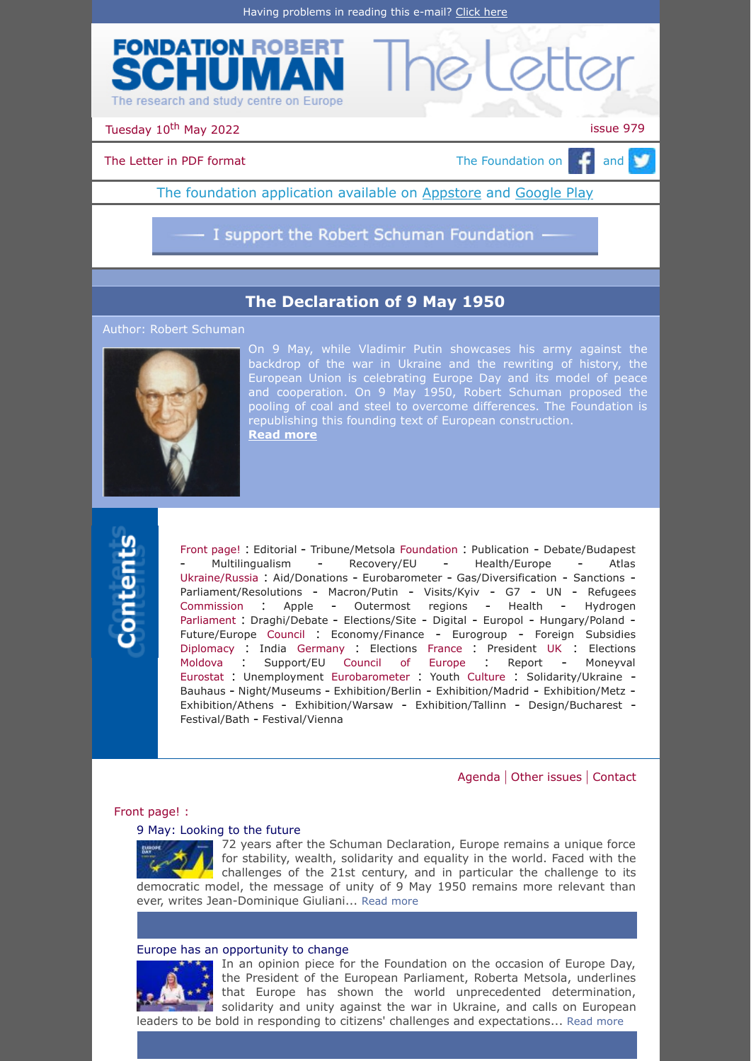



Tuesday 10<sup>th</sup> May 2022 **issue 979** 

# [The Letter in PDF format](https://www.robert-schuman.eu/en/doc/lettres/lettre-979-en.pdf)  $\Box$  The Foundation on  $\Box$  and  $\Box$

The foundation application available on **Appstore** and [Google Play](https://play.google.com/store/apps/details?id=com.digiplace.fondation_Robert_Schuman)

I support the Robert Schuman Foundation -

# **[The Declaration of 9 May 1950](https://www.robert-schuman.eu/en/doc/questions-d-europe/qe-632-en.pdf)**

Author: Robert Schuman



On 9 May, while Vladimir Putin showcases his army against the backdrop of the war in Ukraine and the rewriting of history, the European Union is celebrating Europe Day and its model of peace and cooperation. On 9 May 1950, Robert Schuman proposed the pooling of coal and steel to overcome differences. The Foundation is republishing this founding text of European construction. **[Read more](https://www.robert-schuman.eu/en/doc/questions-d-europe/qe-632-en.pdf)**



[Front page!](#page-0-0) : [Editorial](#page-0-1) - [Tribune/Metsola](#page-0-2) [Foundation](#page-1-0) : [Publication](#page-1-1) - [Debate/Budapest](#page-1-2) - [Multilingualism](#page-1-3) - [Recovery/EU](#page-1-4) - [Health/Europe](#page-1-5) - [Atlas](#page-1-6) [Ukraine/Russia](#page-1-7) : [Aid/Donations](#page-1-8) - [Eurobarometer](#page-1-9) - [Gas/Diversification](#page-2-0) - [Sanctions](#page-2-1) - [Parliament/Resolutions](#page-2-2) - [Macron/Putin](#page-2-3) - [Visits/Kyiv](#page-2-4) - [G7](#page-2-5) - [UN](#page-3-0) - [Refugees](#page-3-1) [Commission](#page-3-2) : [Apple](#page-3-3) - [Outermost](#page-3-4) regions - [Health](#page-3-5) - [Hydrogen](#page-3-6) [Parliament](#page-4-0) : [Draghi/Debate](#page-4-1) - [Elections/Site](#page-4-2) - [Digital](#page-4-3) - [Europol](#page-4-4) - [Hungary/Poland](#page-4-5) - [Future/Europe](#page-4-6) [Council](#page-4-7) : [Economy/Finance](#page-4-8) - [Eurogroup](#page-5-0) - Foreign [Subsidies](#page-5-1) [Diplomacy](#page-5-2) : [India](#page-5-3) [Germany](#page-5-4) : [Elections](#page-5-5) [France](#page-5-6) : [President](#page-5-7) [UK](#page-5-8) : [Elections](#page-5-9) [Moldova](#page-6-0) : [Support/EU](#page-6-1) [Council of Europe](#page-6-2) : [Report](#page-6-3) - [Moneyval](#page-6-4) [Eurostat](#page-6-5) : [Unemployment](#page-6-6) [Eurobarometer](#page-6-7) : [Youth](#page-6-8) [Culture](#page-6-9) : [Solidarity/Ukraine](#page-6-10) - [Bauhaus](#page-7-0) - [Night/Museums](#page-7-1) - [Exhibition/Berlin](#page-7-2) - [Exhibition/Madrid](#page-7-3) - [Exhibition/Metz](#page-7-4) - [Exhibition/Athens](#page-7-5) - [Exhibition/Warsaw](#page-7-6) - [Exhibition/Tallinn](#page-7-7) - [Design/Bucharest](#page-7-8) - [Festival/Bath](#page-7-9) - [Festival/Vienna](#page-8-0)

# [Agenda](#page-8-1) | [Other issues](#page-8-2) | [Contact](#page-8-3)

# <span id="page-0-0"></span>Front page! :

# <span id="page-0-1"></span>[9 May: Looking to the future](https://www.jd-giuliani.eu/en/article/cat-2/899_9-May-looking-to-the-future.html)



72 years after the Schuman Declaration, Europe remains a unique force for stability, wealth, solidarity and equality in the world. Faced with the challenges of the 21st century, and in particular the challenge to its democratic model, the message of unity of 9 May 1950 remains more relevant than ever, writes Jean-Dominique Giuliani... [Read more](https://www.jd-giuliani.eu/en/article/cat-2/899_9-May-looking-to-the-future.html)

# <span id="page-0-2"></span>[Europe has an opportunity to change](https://www.robert-schuman.eu/en/doc/divers/9mai2022-roberta-metsola-en.pdf)



In an opinion piece for the Foundation on the occasion of Europe Day, the President of the European Parliament, Roberta Metsola, underlines that Europe has shown the world unprecedented determination, solidarity and unity against the war in Ukraine, and calls on European leaders to be bold in responding to citizens' challenges and expectations... [Read more](https://www.robert-schuman.eu/en/doc/divers/9mai2022-roberta-metsola-en.pdf)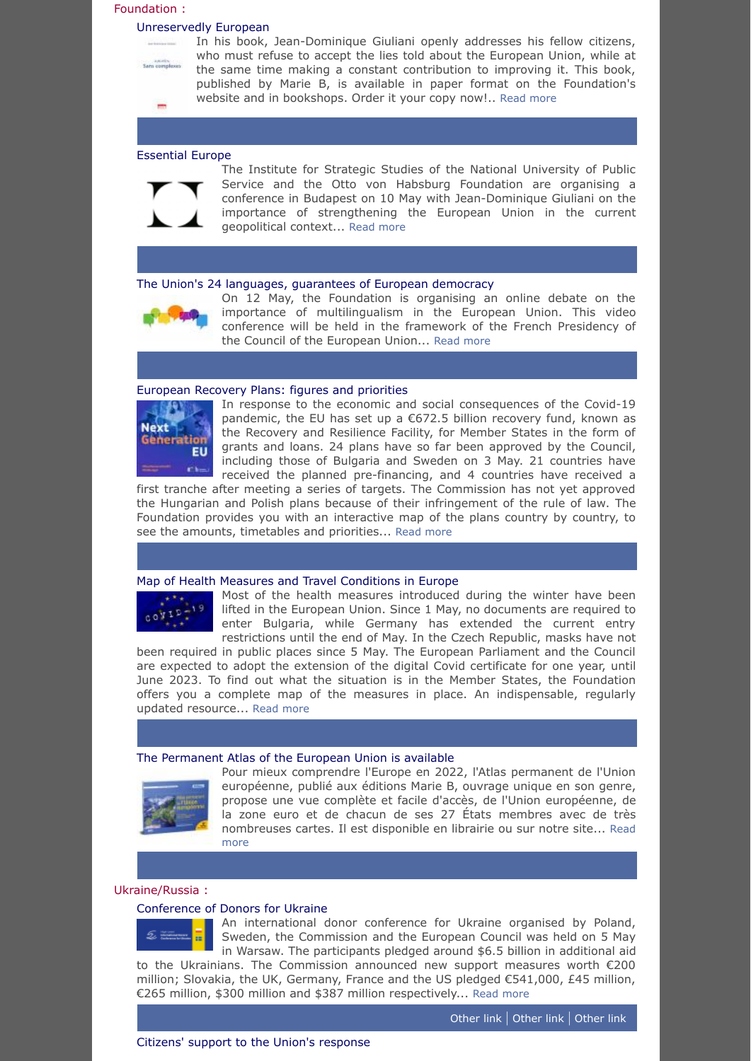#### <span id="page-1-0"></span>Foundation :

#### <span id="page-1-1"></span>[Unreservedly European](https://www.robert-schuman.eu/fr/librairie/0264-europeen-sans-complexes)



In his book, Jean-Dominique Giuliani openly addresses his fellow citizens, who must refuse to accept the lies told about the European Union, while at the same time making a constant contribution to improving it. This book, published by Marie B, is available in paper format on the Foundation's website and in bookshops. Order it your copy now!.. [Read more](https://www.robert-schuman.eu/fr/librairie/0264-europeen-sans-complexes)

### <span id="page-1-2"></span>[Essential Europe](https://habsburgottoalapitvany.hu/en/invitation-essential-europe/)



The Institute for Strategic Studies of the National University of Public Service and the Otto von Habsburg Foundation are organising a conference in Budapest on 10 May with Jean-Dominique Giuliani on the importance of strengthening the European Union in the current geopolitical context... [Read more](https://habsburgottoalapitvany.hu/en/invitation-essential-europe/)

# <span id="page-1-3"></span>[The Union's 24 languages, guarantees of European democracy](https://www.robert-schuman.eu/fr/newsletter/lettre-special-visioconference-12052022.html)



On 12 May, the Foundation is organising an online debate on the importance of multilingualism in the European Union. This video conference will be held in the framework of the French Presidency of the Council of the European Union... [Read more](https://www.robert-schuman.eu/fr/newsletter/lettre-special-visioconference-12052022.html)

#### <span id="page-1-4"></span>[European Recovery Plans: figures and priorities](https://www.robert-schuman.eu/en/european-recovery-plan)



In response to the economic and social consequences of the Covid-19 pandemic, the EU has set up a €672.5 billion recovery fund, known as the Recovery and Resilience Facility, for Member States in the form of grants and loans. 24 plans have so far been approved by the Council, including those of Bulgaria and Sweden on 3 May. 21 countries have received the planned pre-financing, and 4 countries have received a

first tranche after meeting a series of targets. The Commission has not yet approved the Hungarian and Polish plans because of their infringement of the rule of law. The Foundation provides you with an interactive map of the plans country by country, to see the amounts, timetables and priorities... [Read more](https://www.robert-schuman.eu/en/european-recovery-plan)

#### <span id="page-1-5"></span>[Map of Health Measures and Travel Conditions in Europe](https://www.robert-schuman.eu/en/covid19)

**CONTRACTS** 

Most of the health measures introduced during the winter have been lifted in the European Union. Since 1 May, no documents are required to enter Bulgaria, while Germany has extended the current entry restrictions until the end of May. In the Czech Republic, masks have not

been required in public places since 5 May. The European Parliament and the Council are expected to adopt the extension of the digital Covid certificate for one year, until June 2023. To find out what the situation is in the Member States, the Foundation offers you a complete map of the measures in place. An indispensable, regularly updated resource... [Read more](https://www.robert-schuman.eu/en/covid19)

# <span id="page-1-6"></span>[The Permanent Atlas of the European Union is available](https://www.robert-schuman.eu/en/bookshop/0261-the-3rd-edition-of-the-permanent-atlas-of-the-european-union)



Pour mieux comprendre l'Europe en 2022, l'Atlas permanent de l'Union européenne, publié aux éditions Marie B, ouvrage unique en son genre, propose une vue complète et facile d'accès, de l'Union européenne, de la zone euro et de chacun de ses 27 États membres avec de très [nombreuses cartes. Il est disponible en librairie ou sur](https://www.robert-schuman.eu/en/bookshop/0261-the-3rd-edition-of-the-permanent-atlas-of-the-european-union) notre site... Read more

#### <span id="page-1-7"></span>Ukraine/Russia :

# <span id="page-1-8"></span>[Conference of Donors for Ukraine](https://ec.europa.eu/commission/presscorner/detail/fr/ip_22_2832)

<span id="page-1-9"></span>

An international donor conference for Ukraine organised by Poland, Sweden, the Commission and the European Council was held on 5 May in Warsaw. The participants pledged around \$6.5 billion in additional aid to the Ukrainians. The Commission announced new support measures worth €200 million; Slovakia, the UK, Germany, France and the US pledged €541,000, £45 million, €265 million, \$300 million and \$387 million respectively... [Read more](https://ec.europa.eu/commission/presscorner/detail/fr/ip_22_2832)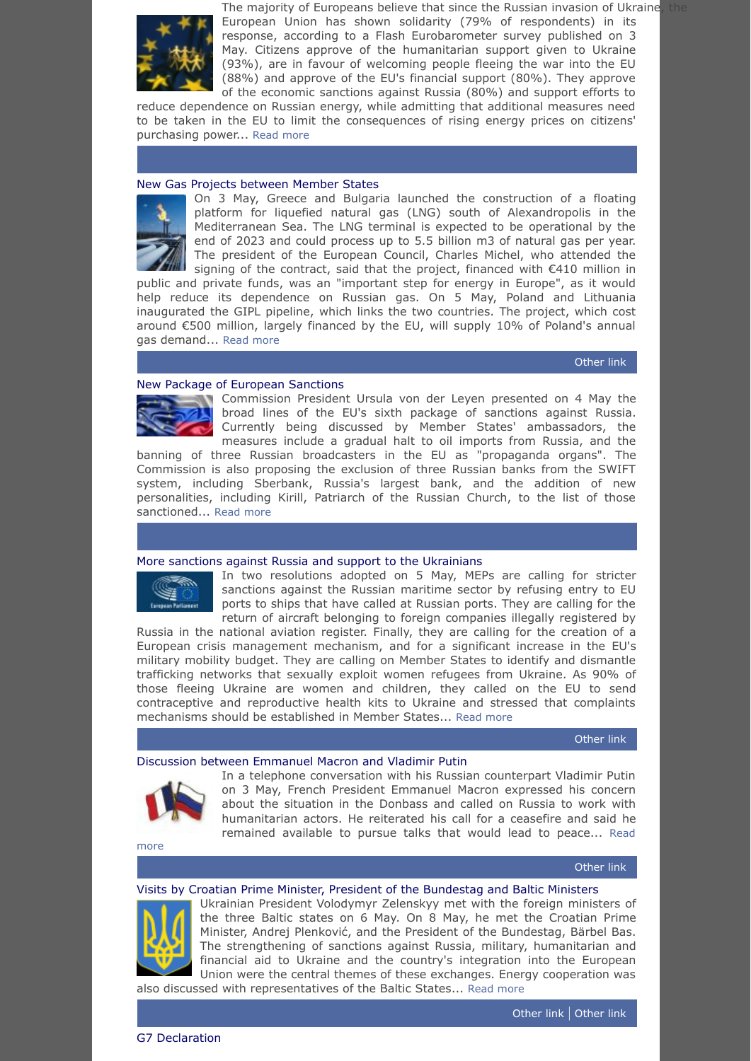

The majority of Europeans believe that since the Russian invasion of Ukraine, the European Union has shown solidarity (79% of respondents) in its response, according to a Flash Eurobarometer survey published on 3 May. Citizens approve of the humanitarian support given to Ukraine (93%), are in favour of welcoming people fleeing the war into the EU (88%) and approve of the EU's financial support (80%). They approve of the economic sanctions against Russia (80%) and support efforts to

reduce dependence on Russian energy, while admitting that additional measures need to be taken in the EU to limit the consequences of rising energy prices on citizens' purchasing power... [Read more](https://ec.europa.eu/commission/presscorner/detail/en/ip_22_2784)

# <span id="page-2-0"></span>[New Gas Projects between Member States](https://www.consilium.europa.eu/en/press/press-releases/2022/05/03/remarks-by-president-charles-michel-at-the-inauguration-of-the-construction-of-a-liquefied-natural-gas-terminal-in-alexandroupolis/)



On 3 May, Greece and Bulgaria launched the construction of a floating platform for liquefied natural gas (LNG) south of Alexandropolis in the Mediterranean Sea. The LNG terminal is expected to be operational by the end of 2023 and could process up to 5.5 billion m3 of natural gas per year. The president of the European Council, Charles Michel, who attended the signing of the contract, said that the project, financed with €410 million in

public and private funds, was an "important step for energy in Europe", as it would .<br>help reduce its dependence on Russian gas. On 5 May, Poland and Lithuania inaugurated the GIPL pipeline, which links the two countries. The project, which cost around €500 million, largely financed by the EU, will supply 10% of Poland's annual gas demand... [Read more](https://www.consilium.europa.eu/en/press/press-releases/2022/05/03/remarks-by-president-charles-michel-at-the-inauguration-of-the-construction-of-a-liquefied-natural-gas-terminal-in-alexandroupolis/)

[Other](https://ec.europa.eu/info/news/inauguration-gas-interconnection-between-poland-and-lithuania-2022-may-05_en) link

# <span id="page-2-1"></span>[New Package of European Sanctions](https://ec.europa.eu/commission/presscorner/detail/en/speech_22_2785)



Commission President Ursula von der Leyen presented on 4 May the broad lines of the EU's sixth package of sanctions against Russia. Currently being discussed by Member States' ambassadors, the measures include a gradual halt to oil imports from Russia, and the

banning of three Russian broadcasters in the EU as "propaganda organs". The Commission is also proposing the exclusion of three Russian banks from the SWIFT system, including Sberbank, Russia's largest bank, and the addition of new personalities, including Kirill, Patriarch of the Russian Church, to the list of those sanctioned... [Read more](https://ec.europa.eu/commission/presscorner/detail/en/speech_22_2785)

#### <span id="page-2-2"></span>[More sanctions against Russia and support to the Ukrainians](https://www.europarl.europa.eu/doceo/document/TA-9-2022-0207_EN.pdf)



In two resolutions adopted on 5 May, MEPs are calling for stricter sanctions against the Russian maritime sector by refusing entry to EU ports to ships that have called at Russian ports. They are calling for the return of aircraft belonging to foreign companies illegally registered by

Russia in the national aviation register. Finally, they are calling for the creation of a European crisis management mechanism, and for a significant increase in the EU's military mobility budget. They are calling on Member States to identify and dismantle trafficking networks that sexually exploit women refugees from Ukraine. As 90% of those fleeing Ukraine are women and children, they called on the EU to send contraceptive and reproductive health kits to Ukraine and stressed that complaints mechanisms should be established in Member States... [Read more](https://www.europarl.europa.eu/doceo/document/TA-9-2022-0207_EN.pdf)

[Other](https://www.europarl.europa.eu/doceo/document/TA-9-2022-0206_EN.pdf) link

# <span id="page-2-3"></span>[Discussion between Emmanuel Macron and Vladimir Putin](http://en.kremlin.ru/events/president/news/68348)



In a telephone conversation with his Russian counterpart Vladimir Putin on 3 May, French President Emmanuel Macron expressed his concern about the situation in the Donbass and called on Russia to work with humanitarian actors. He reiterated his call for a ceasefire and said he [remained available to pursue talks that would lead to peace...](http://en.kremlin.ru/events/president/news/68348) Read

more

### [Other](https://www.elysee.fr/emmanuel-macron/2022/05/03/entretien-vladimir-poutine-president-de-la-federation-de-russie) link

# <span id="page-2-4"></span>[Visits by Croatian Prime Minister, President of the Bundestag and Baltic Ministers](https://www.president.gov.ua/en/news/prezident-ukrayini-obgovoriv-z-premyer-ministrom-horvatiyi-p-74889)

<span id="page-2-5"></span>

Ukrainian President Volodymyr Zelenskyy met with the foreign ministers of the three Baltic states on 6 May. On 8 May, he met the Croatian Prime Minister, Andrej Plenković, and the President of the Bundestag, Bärbel Bas. The strengthening of sanctions against Russia, military, humanitarian and financial aid to Ukraine and the country's integration into the European Union were the central themes of these exchanges. Energy cooperation was also discussed with representatives of the Baltic States... [Read more](https://www.president.gov.ua/en/news/prezident-ukrayini-obgovoriv-z-premyer-ministrom-horvatiyi-p-74889)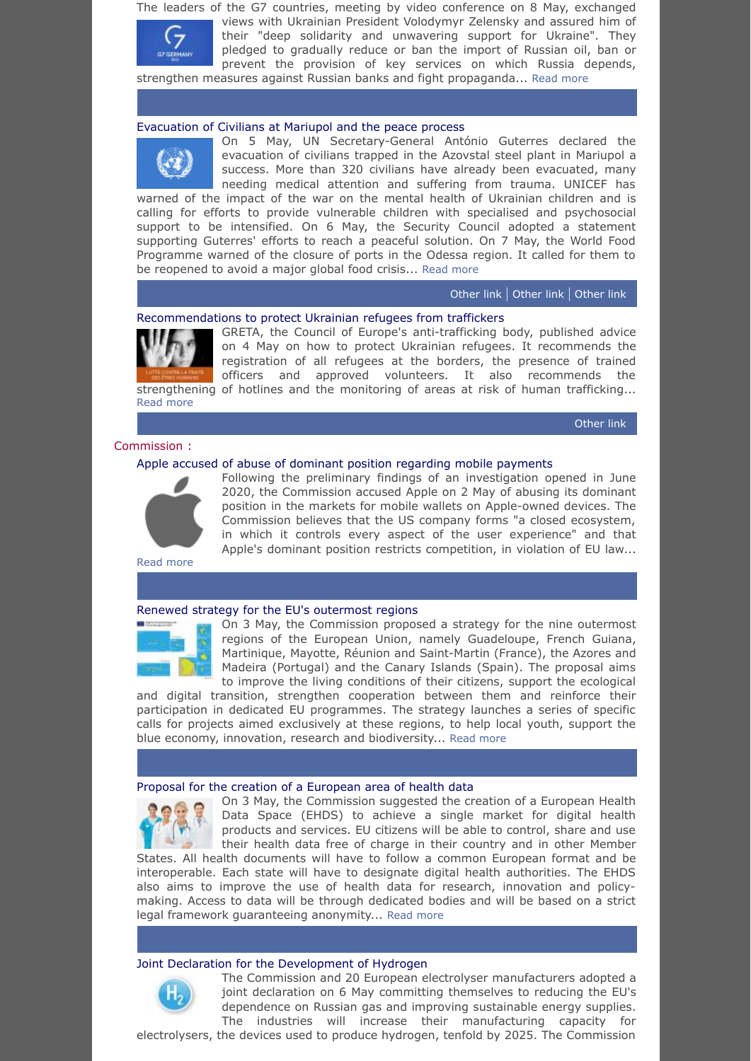The leaders of the G7 countries, meeting by video conference on 8 May, exchanged

views with Ukrainian President Volodymyr Zelensky and assured him of their "deep solidarity and unwavering support for Ukraine". They pledged to gradually reduce or ban the import of Russian oil, ban or prevent the provision of key services on which Russia depends,

strengthen measures against Russian banks and fight propaganda... [Read more](https://www.g7germany.de/resource/blob/998352/2037590/4765108ccd471e57c87a11faf0964e79/2022-05-08-g7-leaders-statement-eng-data.pdf?download=1)

# <span id="page-3-0"></span>[Evacuation of Civilians at Mariupol and the peace process](https://news.un.org/en/story/2022/05/1117782)

On 5 May, UN Secretary-General António Guterres declared the evacuation of civilians trapped in the Azovstal steel plant in Mariupol a success. More than 320 civilians have already been evacuated, many needing medical attention and suffering from trauma. UNICEF has

warned of the impact of the war on the mental health of Ukrainian children and is calling for efforts to provide vulnerable children with specialised and psychosocial support to be intensified. On 6 May, the Security Council adopted a statement supporting Guterres' efforts to reach a peaceful solution. On 7 May, the World Food Programme warned of the closure of ports in the Odessa region. It called for them to be reopened to avoid a major global food crisis... [Read more](https://news.un.org/en/story/2022/05/1117782)

### [Other](https://news.un.org/en/story/2022/05/1117742) link | [Other](https://news.un.org/en/story/2022/05/1117662) link | [Other](https://news.un.org/en/story/2022/05/1117722) link

# <span id="page-3-1"></span>[Recommendations to protect Ukrainian refugees from traffickers](https://www.coe.int/fr/web/portal/full-news/-/asset_publisher/y5xQt7QdunzT/content/council-of-europe-experts-release-guidance-to-protect-ukrainian-refugees-from-traffickers?_101_INSTANCE_y5xQt7QdunzT_languageId=en_GB)

GRETA, the Council of Europe's anti-trafficking body, published advice on 4 May on how to protect Ukrainian refugees. It recommends the registration of all refugees at the borders, the presence of trained officers and approved volunteers. It also recommends the strengthening of hotlines and the monitoring of areas at risk of human trafficking...

[Other](https://rm.coe.int/guidance-note-on-addressing-the-risks-of-trafficking-in-human-beings-r/1680a663e2) link

# <span id="page-3-2"></span>Commission :

[Read more](https://www.coe.int/fr/web/portal/full-news/-/asset_publisher/y5xQt7QdunzT/content/council-of-europe-experts-release-guidance-to-protect-ukrainian-refugees-from-traffickers?_101_INSTANCE_y5xQt7QdunzT_languageId=en_GB)

# <span id="page-3-3"></span>[Apple accused of abuse of dominant position regarding mobile payments](https://ec.europa.eu/commission/presscorner/detail/en/ip_22_2764)



Following the preliminary findings of an investigation opened in June 2020, the Commission accused Apple on 2 May of abusing its dominant position in the markets for mobile wallets on Apple-owned devices. The Commission believes that the US company forms "a closed ecosystem, in which it controls every aspect of the user experience" and that Apple's dominant position restricts competition, in violation of EU law...

[Read more](https://ec.europa.eu/commission/presscorner/detail/en/ip_22_2764)

#### <span id="page-3-4"></span>[Renewed strategy for the EU's outermost regions](https://ec.europa.eu/commission/presscorner/detail/en/ip_22_2727)



On 3 May, the Commission proposed a strategy for the nine outermost regions of the European Union, namely Guadeloupe, French Guiana, Martinique, Mayotte, Réunion and Saint-Martin (France), the Azores and Madeira (Portugal) and the Canary Islands (Spain). The proposal aims to improve the living conditions of their citizens, support the ecological

and digital transition, strengthen cooperation between them and reinforce their participation in dedicated EU programmes. The strategy launches a series of specific calls for projects aimed exclusively at these regions, to help local youth, support the blue economy, innovation, research and biodiversity... [Read more](https://ec.europa.eu/commission/presscorner/detail/en/ip_22_2727)

#### <span id="page-3-5"></span>[Proposal for the creation of a European area of health data](https://ec.europa.eu/commission/presscorner/detail/en/ip_22_2711)



On 3 May, the Commission suggested the creation of a European Health Data Space (EHDS) to achieve a single market for digital health products and services. EU citizens will be able to control, share and use their health data free of charge in their country and in other Member

States. All health documents will have to follow a common European format and be interoperable. Each state will have to designate digital health authorities. The EHDS also aims to improve the use of health data for research, innovation and policymaking. Access to data will be through dedicated bodies and will be based on a strict legal framework guaranteeing anonymity... [Read more](https://ec.europa.eu/commission/presscorner/detail/en/ip_22_2711)

#### <span id="page-3-6"></span>[Joint Declaration for the Development of Hydrogen](https://ec.europa.eu/docsroom/documents/50014/)



The Commission and 20 European electrolyser manufacturers adopted a joint declaration on 6 May committing themselves to reducing the EU's dependence on Russian gas and improving sustainable energy supplies. The industries will increase their manufacturing capacity for

electrolysers, the devices used to produce hydrogen, tenfold by 2025. The Commission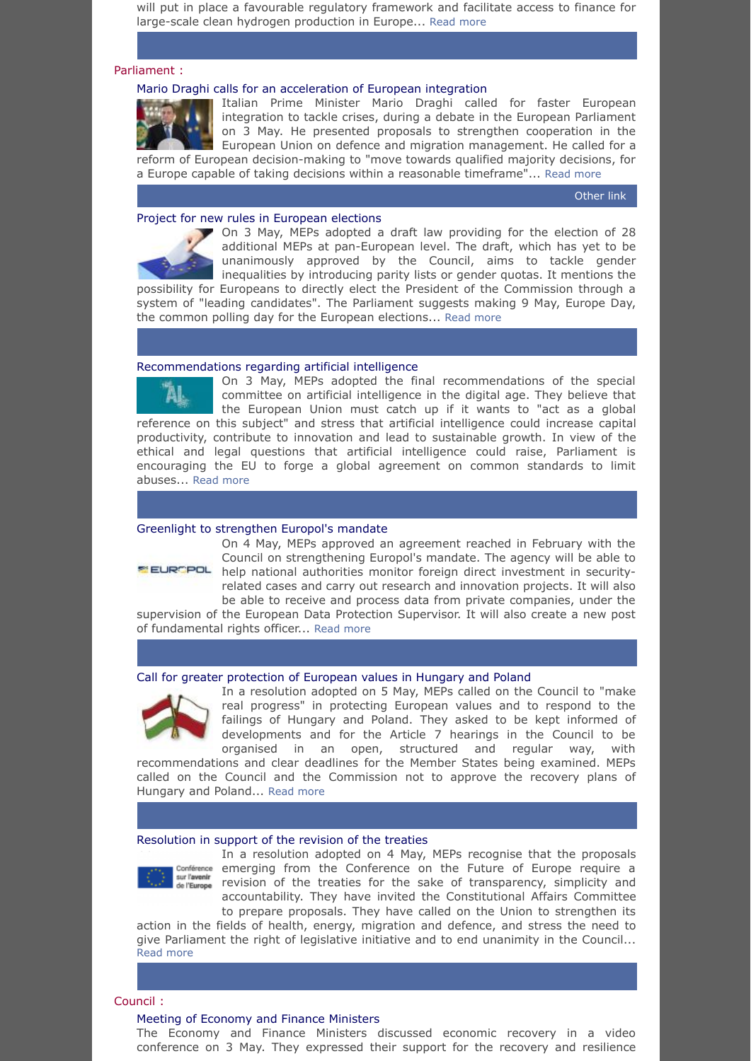will put in place a favourable regulatory framework and facilitate access to finance for large-scale clean hydrogen production in Europe... [Read more](https://ec.europa.eu/docsroom/documents/50014/)

### <span id="page-4-0"></span>Parliament :

# <span id="page-4-1"></span>[Mario Draghi calls for an acceleration of European integration](https://www.europarl.europa.eu/news/en/press-room/20220429IPR28222/italy-s-prime-minister-draghi-calls-for-faster-eu-integration-to-address-crises)

Italian Prime Minister Mario Draghi called for faster European integration to tackle crises, during a debate in the European Parliament on 3 May. He presented proposals to strengthen cooperation in the European Union on defence and migration management. He called for a reform of European decision-making to "move towards qualified majority decisions, for

a Europe capable of taking decisions within a reasonable timeframe"... [Read more](https://www.europarl.europa.eu/news/en/press-room/20220429IPR28222/italy-s-prime-minister-draghi-calls-for-faster-eu-integration-to-address-crises)

[Other](https://www.governo.it/it/articolo/il-presidente-draghi-al-parlamento-europeo/19738) link

# <span id="page-4-2"></span>[Project for new rules in European elections](https://www.europarl.europa.eu/doceo/document/TA-9-2022-0129_EN.pdf)

On 3 May, MEPs adopted a draft law providing for the election of 28 additional MEPs at pan-European level. The draft, which has yet to be unanimously approved by the Council, aims to tackle gender inequalities by introducing parity lists or gender quotas. It mentions the

possibility for Europeans to directly elect the President of the Commission through a system of "leading candidates". The Parliament suggests making 9 May, Europe Day, the common polling day for the European elections... [Read more](https://www.europarl.europa.eu/doceo/document/TA-9-2022-0129_EN.pdf)

#### <span id="page-4-3"></span>[Recommendations regarding artificial intelligence](https://www.europarl.europa.eu/doceo/document/TA-9-2022-0140_EN.pdf)



On 3 May, MEPs adopted the final recommendations of the special committee on artificial intelligence in the digital age. They believe that the European Union must catch up if it wants to "act as a global reference on this subject" and stress that artificial intelligence could increase capital productivity, contribute to innovation and lead to sustainable growth. In view of the ethical and legal questions that artificial intelligence could raise, Parliament is encouraging the EU to forge a global agreement on common standards to limit

abuses... [Read more](https://www.europarl.europa.eu/doceo/document/TA-9-2022-0140_EN.pdf)

#### <span id="page-4-4"></span>[Greenlight to strengthen Europol's mandate](https://www.europarl.europa.eu/doceo/document/TA-9-2022-0142_EN.pdf)



On 4 May, MEPs approved an agreement reached in February with the Council on strengthening Europol's mandate. The agency will be able to **EURCPOL** help national authorities monitor foreign direct investment in securityrelated cases and carry out research and innovation projects. It will also be able to receive and process data from private companies, under the

supervision of the European Data Protection Supervisor. It will also create a new post of fundamental rights officer... [Read more](https://www.europarl.europa.eu/doceo/document/TA-9-2022-0142_EN.pdf)

### <span id="page-4-5"></span>[Call for greater protection of European values in Hungary and Poland](https://www.europarl.europa.eu/doceo/document/TA-9-2022-0204_EN.pdf)



In a resolution adopted on 5 May, MEPs called on the Council to "make real progress" in protecting European values and to respond to the failings of Hungary and Poland. They asked to be kept informed of developments and for the Article 7 hearings in the Council to be organised in an open, structured and regular way, with

recommendations and clear deadlines for the Member States being examined. MEPs called on the Council and the Commission not to approve the recovery plans of Hungary and Poland... [Read more](https://www.europarl.europa.eu/doceo/document/TA-9-2022-0204_EN.pdf)

# <span id="page-4-6"></span>[Resolution in support of the revision of the treaties](https://www.europarl.europa.eu/doceo/document/TA-9-2022-0141_EN.pdf)



In a resolution adopted on 4 May, MEPs recognise that the proposals Conférence emerging from the Conference on the Future of Europe require a sur l'avenir<br>de l'Europe revision of the treaties for the sake of transparency, simplicity and accountability. They have invited the Constitutional Affairs Committee to prepare proposals. They have called on the Union to strengthen its

action in the fields of health, energy, migration and defence, and stress the need to give Parliament the right of legislative initiative and to end unanimity in the Council... [Read more](https://www.europarl.europa.eu/doceo/document/TA-9-2022-0141_EN.pdf)

# <span id="page-4-7"></span>Council :

#### <span id="page-4-8"></span>[Meeting of Economy and Finance Ministers](https://www.consilium.europa.eu/en/meetings/ecofin/2022/05/03)

The Economy and Finance Ministers discussed economic recovery in a video conference on 3 May. They expressed their support for the recovery and resilience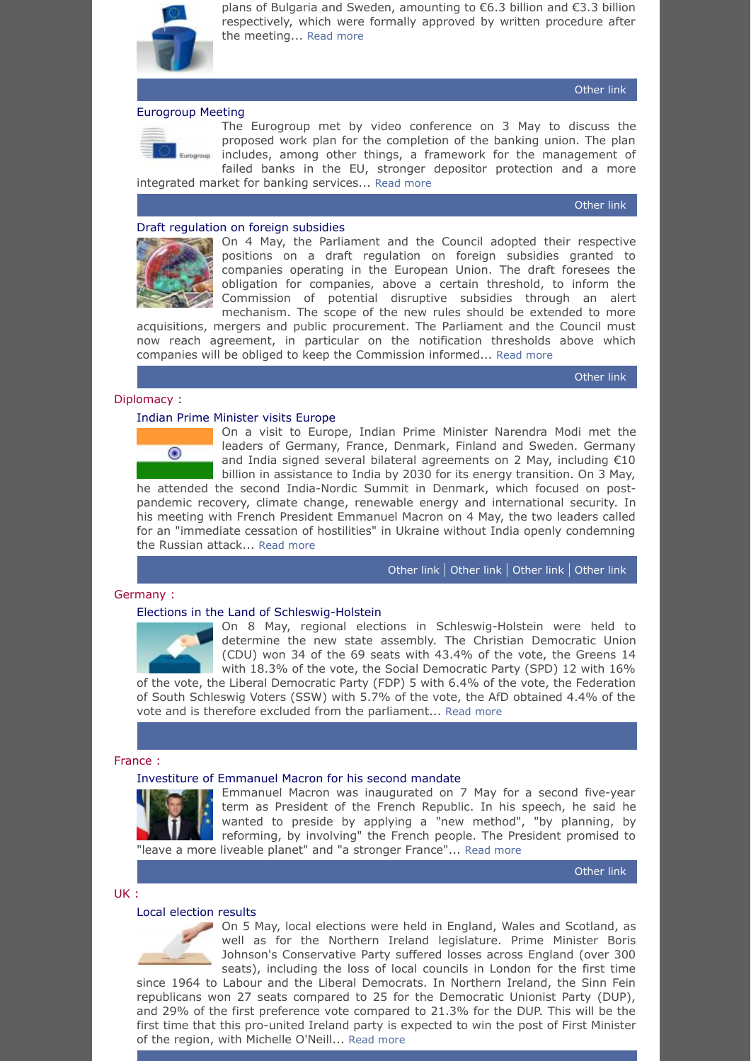

plans of Bulgaria and Sweden, amounting to €6.3 billion and €3.3 billion respectively, which were formally approved by written procedure after the meeting... [Read more](https://www.consilium.europa.eu/en/meetings/ecofin/2022/05/03)

# <span id="page-5-0"></span>[Eurogroup Meeting](https://www.consilium.europa.eu/en/meetings/eurogroup/2022/05/03)



The Eurogroup met by video conference on 3 May to discuss the proposed work plan for the completion of the banking union. The plan includes, among other things, a framework for the management of failed banks in the EU, stronger depositor protection and a more integrated market for banking services... [Read more](https://www.consilium.europa.eu/en/meetings/eurogroup/2022/05/03)

[Other](https://www.consilium.europa.eu/en/press/press-releases/2022/05/03/remarks-by-paschal-donohoe-following-the-video-conference-of-the-eurogroup-of-3-may-2022/) link

[Other](https://www.consilium.europa.eu/en/press/press-releases/2022/05/03/recovery-fund-ministers-welcome-assessment-of-national-plans-for-bulgaria-and-sweden/) link

# <span id="page-5-1"></span>[Draft regulation on foreign subsidies](https://www.consilium.europa.eu/en/press/press-releases/2022/05/04/reglementer-les-subventions-etrangeres-generant-des-distorsions-sur-le-marche-interieur-le-conseil-adopte-sa-position/)



On 4 May, the Parliament and the Council adopted their respective positions on a draft regulation on foreign subsidies granted to companies operating in the European Union. The draft foresees the obligation for companies, above a certain threshold, to inform the Commission of potential disruptive subsidies through an alert mechanism. The scope of the new rules should be extended to more

acquisitions, mergers and public procurement. The Parliament and the Council must now reach agreement, in particular on the notification thresholds above which companies will be obliged to keep the Commission informed... [Read more](https://www.consilium.europa.eu/en/press/press-releases/2022/05/04/reglementer-les-subventions-etrangeres-generant-des-distorsions-sur-le-marche-interieur-le-conseil-adopte-sa-position/)

[Other](https://www.europarl.europa.eu/doceo/document/TA-9-2022-0143_EN.pdf) link

# <span id="page-5-2"></span>Diplomacy :

#### <span id="page-5-3"></span>[Indian Prime Minister visits Europe](https://www.elysee.fr/en/emmanuel-macron/2022/05/04/joint-statement-by-president-emmanuel-macron-and-the-prime-minister-of-india-m-narendra-modi)



On a visit to Europe, Indian Prime Minister Narendra Modi met the leaders of Germany, France, Denmark, Finland and Sweden. Germany and India signed several bilateral agreements on 2 May, including  $\epsilon$ 10 billion in assistance to India by 2030 for its energy transition. On 3 May,

he attended the second India-Nordic Summit in Denmark, which focused on postpandemic recovery, climate change, renewable energy and international security. In his meeting with French President Emmanuel Macron on 4 May, the two leaders called for an "immediate cessation of hostilities" in Ukraine without India openly condemning the Russian attack... [Read more](https://www.elysee.fr/en/emmanuel-macron/2022/05/04/joint-statement-by-president-emmanuel-macron-and-the-prime-minister-of-india-m-narendra-modi)

[Other](https://www.pmindia.gov.in/en/news_updates/2nd-india-nordic-summit/?comment=disable) link | [Other](https://www.pmindia.gov.in/en/news_updates/pms-meeting-with-prime-minister-of-finland/?comment=disable) link | [Other](https://www.pmindia.gov.in/en/news_updates/pms-meeting-with-prime-minister-of-sweden/?comment=disable) link | [Other](https://www.pmindia.gov.in/en/news_updates/press-release-on-pms-meeting-with-prime-minister-of-denmark/?comment=disable) link

# <span id="page-5-4"></span>Germany :

# <span id="page-5-5"></span>[Elections in the Land of Schleswig-Holstein](https://www.dw.com/en/germany-cdu-wins-schleswig-holstein-state-election/a-61726509)

On 8 May, regional elections in Schleswig-Holstein were held to determine the new state assembly. The Christian Democratic Union (CDU) won 34 of the 69 seats with 43.4% of the vote, the Greens 14 with 18.3% of the vote, the Social Democratic Party (SPD) 12 with 16%

of the vote, the Liberal Democratic Party (FDP) 5 with 6.4% of the vote, the Federation of South Schleswig Voters (SSW) with 5.7% of the vote, the AfD obtained 4.4% of the vote and is therefore excluded from the parliament... [Read more](https://www.dw.com/en/germany-cdu-wins-schleswig-holstein-state-election/a-61726509)

# <span id="page-5-6"></span>France :

# <span id="page-5-7"></span>[Investiture of Emmanuel Macron for his second mandate](https://www.nytimes.com/2022/05/07/world/europe/france-president-emmanuel-macron-inauguration.html)



Emmanuel Macron was inaugurated on 7 May for a second five-year term as President of the French Republic. In his speech, he said he wanted to preside by applying a "new method", "by planning, by reforming, by involving" the French people. The President promised to "leave a more liveable planet" and "a stronger France"... [Read more](https://www.nytimes.com/2022/05/07/world/europe/france-president-emmanuel-macron-inauguration.html)

[Other](https://www.elysee.fr/emmanuel-macron/2022/05/07/ceremonie-dinvestiture-du-president-de-la-republique) link

#### <span id="page-5-8"></span>UK :

#### <span id="page-5-9"></span>[Local election results](https://www.bbc.com/news/live/uk-politics-61235136)



On 5 May, local elections were held in England, Wales and Scotland, as well as for the Northern Ireland legislature. Prime Minister Boris Johnson's Conservative Party suffered losses across England (over 300 seats), including the loss of local councils in London for the first time

since 1964 to Labour and the Liberal Democrats. In Northern Ireland, the Sinn Fein republicans won 27 seats compared to 25 for the Democratic Unionist Party (DUP), and 29% of the first preference vote compared to 21.3% for the DUP. This will be the first time that this pro-united Ireland party is expected to win the post of First Minister of the region, with Michelle O'Neill... [Read more](https://www.bbc.com/news/live/uk-politics-61235136)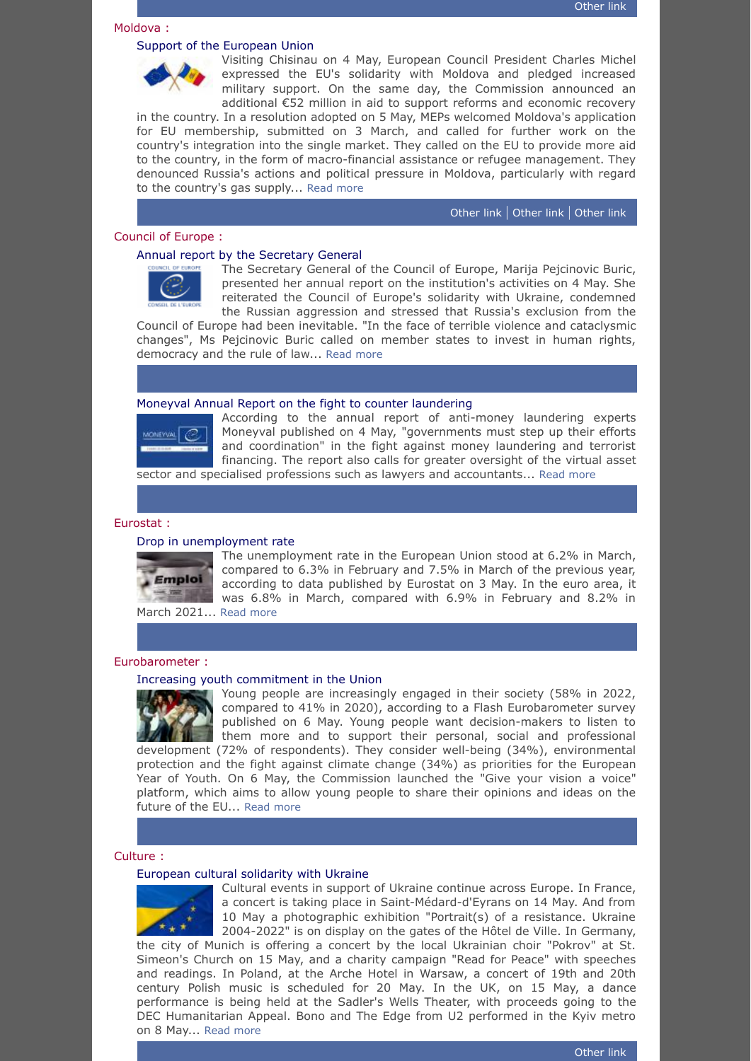#### <span id="page-6-0"></span>Moldova :

<span id="page-6-1"></span>

Visiting Chisinau on 4 May, European Council President Charles Michel expressed the EU's solidarity with Moldova and pledged increased military support. On the same day, the Commission announced an additional €52 million in aid to support reforms and economic recovery

in the country. In a resolution adopted on 5 May, MEPs welcomed Moldova's application for EU membership, submitted on 3 March, and called for further work on the country's integration into the single market. They called on the EU to provide more aid to the country, in the form of macro-financial assistance or refugee management. They denounced Russia's actions and political pressure in Moldova, particularly with regard to the country's gas supply... [Read more](https://www.consilium.europa.eu/en/press/press-releases/2022/05/04/remarks-by-president-charles-michel-at-the-press-conference-with-president-maia-sandu-in-chisinau/)

[Other](https://ec.europa.eu/commission/presscorner/detail/en/ip_22_2783) link | [Other](https://www.europarl.europa.eu/doceo/document/TA-9-2022-0205_EN.pdf) link | [Other](https://presedinte.md/rom/presa/sefa-statului-a-discutat-cu-presedintele-consiliului-european-charles-michel-vom-continua-sa-muncim-pentru-ca-intr-o-buna-zi-sa-intram-in-marea-familie-europeana) link

# <span id="page-6-2"></span>Council of Europe :

# <span id="page-6-3"></span>[Annual report by the Secretary General](https://rm.coe.int/moving-forward-2022-annual-report-of-the-secretary-general/1680a661d6)



The Secretary General of the Council of Europe, Marija Pejcinovic Buric, presented her annual report on the institution's activities on 4 May. She reiterated the Council of Europe's solidarity with Ukraine, condemned the Russian aggression and stressed that Russia's exclusion from the

Council of Europe had been inevitable. "In the face of terrible violence and cataclysmic changes", Ms Pejcinovic Buric called on member states to invest in human rights, democracy and the rule of law... [Read more](https://rm.coe.int/moving-forward-2022-annual-report-of-the-secretary-general/1680a661d6)

#### <span id="page-6-4"></span>[Moneyval Annual Report on the fight to counter laundering](https://rm.coe.int/moneyval-annual-report-2021-eng-docx/1680a662b1)



According to the annual report of anti-money laundering experts Moneyval published on 4 May, "governments must step up their efforts and coordination" in the fight against money laundering and terrorist financing. The report also calls for greater oversight of the virtual asset sector and specialised professions such as lawyers and accountants... [Read more](https://rm.coe.int/moneyval-annual-report-2021-eng-docx/1680a662b1)

# <span id="page-6-5"></span>Eurostat :

#### <span id="page-6-6"></span>[Drop in unemployment rate](https://ec.europa.eu/eurostat/documents/2995521/14613608/3-03052022-AP-EN.pdf/36631a07-778c-efb0-01f2-8a052bde985e)



The unemployment rate in the European Union stood at 6.2% in March, compared to 6.3% in February and 7.5% in March of the previous year, according to data published by Eurostat on 3 May. In the euro area, it was 6.8% in March, compared with 6.9% in February and 8.2% in

March 2021... [Read more](https://ec.europa.eu/eurostat/documents/2995521/14613608/3-03052022-AP-EN.pdf/36631a07-778c-efb0-01f2-8a052bde985e)

# <span id="page-6-7"></span>Eurobarometer :

### <span id="page-6-8"></span>[Increasing youth commitment in the Union](https://ec.europa.eu/commission/presscorner/detail/en/ip_22_2774)



Young people are increasingly engaged in their society (58% in 2022, compared to 41% in 2020), according to a Flash Eurobarometer survey published on 6 May. Young people want decision-makers to listen to them more and to support their personal, social and professional

development (72% of respondents). They consider well-being (34%), environmental protection and the fight against climate change (34%) as priorities for the European Year of Youth. On 6 May, the Commission launched the "Give your vision a voice" platform, which aims to allow young people to share their opinions and ideas on the future of the EU... [Read more](https://ec.europa.eu/commission/presscorner/detail/en/ip_22_2774)

# <span id="page-6-9"></span>Culture :

# <span id="page-6-10"></span>[European cultural solidarity with Ukraine](https://ukrainianlondon.co.uk/may-15th-unite-for-ukraine/)



Cultural events in support of Ukraine continue across Europe. In France, a concert is taking place in Saint-Médard-d'Eyrans on 14 May. And from 10 May a photographic exhibition "Portrait(s) of a resistance. Ukraine 2004-2022" is on display on the gates of the Hôtel de Ville. In Germany,

the city of Munich is offering a concert by the local Ukrainian choir "Pokrov" at St. Simeon's Church on 15 May, and a charity campaign "Read for Peace" with speeches and readings. In Poland, at the Arche Hotel in Warsaw, a concert of 19th and 20th century Polish music is scheduled for 20 May. In the UK, on 15 May, a dance performance is being held at the Sadler's Wells Theater, with proceeds going to the DEC Humanitarian Appeal. Bono and The Edge from U2 performed in the Kyiv metro on 8 May... [Read more](https://ukrainianlondon.co.uk/may-15th-unite-for-ukraine/)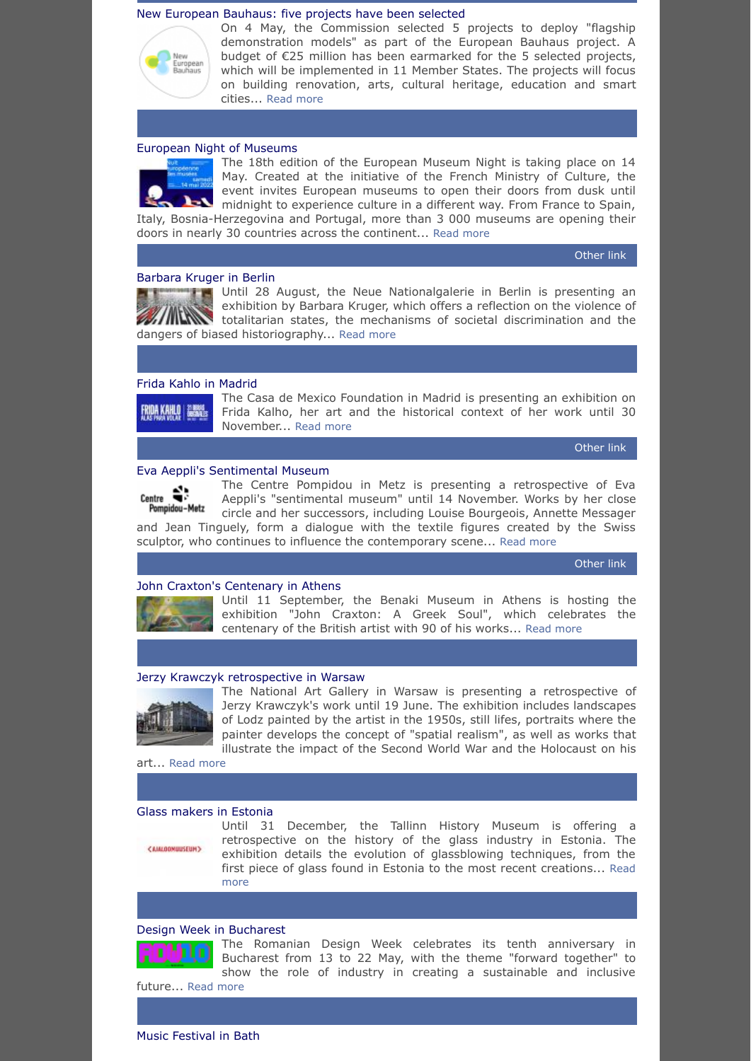#### <span id="page-7-0"></span>[New European Bauhaus: five projects have been selected](https://ec.europa.eu/commission/presscorner/detail/en/ip_22_2780)



On 4 May, the Commission selected 5 projects to deploy "flagship demonstration models" as part of the European Bauhaus project. A budget of €25 million has been earmarked for the 5 selected projects, which will be implemented in 11 Member States. The projects will focus on building renovation, arts, cultural heritage, education and smart cities... [Read more](https://ec.europa.eu/commission/presscorner/detail/en/ip_22_2780)

#### <span id="page-7-1"></span>[European Night of Museums](https://nuitdesmusees.culture.gouv.fr/en/)



The 18th edition of the European Museum Night is taking place on 14 May. Created at the initiative of the French Ministry of Culture, the event invites European museums to open their doors from dusk until midnight to experience culture in a different way. From France to Spain, Italy, Bosnia-Herzegovina and Portugal, more than 3 000 museums are opening their

doors in nearly 30 countries across the continent... [Read more](https://nuitdesmusees.culture.gouv.fr/en/)

[Other](https://nuitdesmusees.culture.gouv.fr/en/actualites/aux-quatre-coins-de-l-europe-la-memoire-des-peuples-est-a-l-honneur) link

#### <span id="page-7-2"></span>[Barbara Kruger in Berlin](https://www.smb.museum/en/museums-institutions/neue-nationalgalerie/exhibitions/detail/barbara-kruger/)

Until 28 August, the Neue Nationalgalerie in Berlin is presenting an exhibition by Barbara Kruger, which offers a reflection on the violence of **THERE is a little totalitarian states, the mechanisms of societal discrimination and the** dangers of biased historiography... [Read more](https://www.smb.museum/en/museums-institutions/neue-nationalgalerie/exhibitions/detail/barbara-kruger/)

#### <span id="page-7-3"></span>[Frida Kahlo in Madrid](https://www.casademexico.es/exposicion/frida-kahlo/)



The Casa de Mexico Foundation in Madrid is presenting an exhibition on Frida Kalho, her art and the historical context of her work until 30 November... [Read more](https://www.casademexico.es/exposicion/frida-kahlo/)

[Other](https://www.esmadrid.com/en/whats-on/frida-kahlo-wings-fly-fundacion-casa-mexico-espana) link

# <span id="page-7-4"></span>[Eva Aeppli's Sentimental Museum](https://www.museumspass.com/en/exhibition/eva-aepplis-sentimental-museum)

The Centre Pompidou in Metz is presenting a retrospective of Eva  $Centre$ Aeppli's "sentimental museum" until 14 November. Works by her close Pompidou-Metz circle and her successors, including Louise Bourgeois, Annette Messager and Jean Tinguely, form a dialogue with the textile figures created by the Swiss sculptor, who continues to influence the contemporary scene... [Read more](https://www.museumspass.com/en/exhibition/eva-aepplis-sentimental-museum)

[Other](https://www.centrepompidou-metz.fr/eva-aeppli) link

### <span id="page-7-5"></span>[John Craxton's Centenary in Athens](https://www.benaki.org/index.php?option=com_events&view=event&type=&id=1016119&Itemid=559&lang=en)



Until 11 September, the Benaki Museum in Athens is hosting the exhibition "John Craxton: A Greek Soul", which celebrates the centenary of the British artist with 90 of his works... [Read more](https://www.benaki.org/index.php?option=com_events&view=event&type=&id=1016119&Itemid=559&lang=en)

#### <span id="page-7-6"></span>[Jerzy Krawczyk retrospective in Warsaw](https://zacheta.art.pl/en/wystawy/jerzy-krawczyk-gra-o-wszystko)



The National Art Gallery in Warsaw is presenting a retrospective of Jerzy Krawczyk's work until 19 June. The exhibition includes landscapes of Lodz painted by the artist in the 1950s, still lifes, portraits where the painter develops the concept of "spatial realism", as well as works that illustrate the impact of the Second World War and the Holocaust on his

art... [Read more](https://zacheta.art.pl/en/wystawy/jerzy-krawczyk-gra-o-wszystko)

#### <span id="page-7-7"></span>[Glass makers in Estonia](https://www.ajaloomuuseum.ee/exhibitions/contemporary-exhibitions/coming-soon-master-glass-makers-the-history-of-the-estonian-glass-industry)

<AIM.OOMUUSEUM>

Until 31 December, the Tallinn History Museum is offering a retrospective on the history of the glass industry in Estonia. The exhibition details the evolution of glassblowing techniques, from the [first piece of glass found in Estonia to the most recent creations...](https://www.ajaloomuuseum.ee/exhibitions/contemporary-exhibitions/coming-soon-master-glass-makers-the-history-of-the-estonian-glass-industry) Read more

# <span id="page-7-8"></span>[Design Week in Bucharest](https://romaniandesignweek.ro/article/10-years-romanian-design-week-numbers)



The Romanian Design Week celebrates its tenth anniversary in Bucharest from 13 to 22 May, with the theme "forward together" to show the role of industry in creating a sustainable and inclusive future... [Read more](https://romaniandesignweek.ro/article/10-years-romanian-design-week-numbers)

<span id="page-7-9"></span>